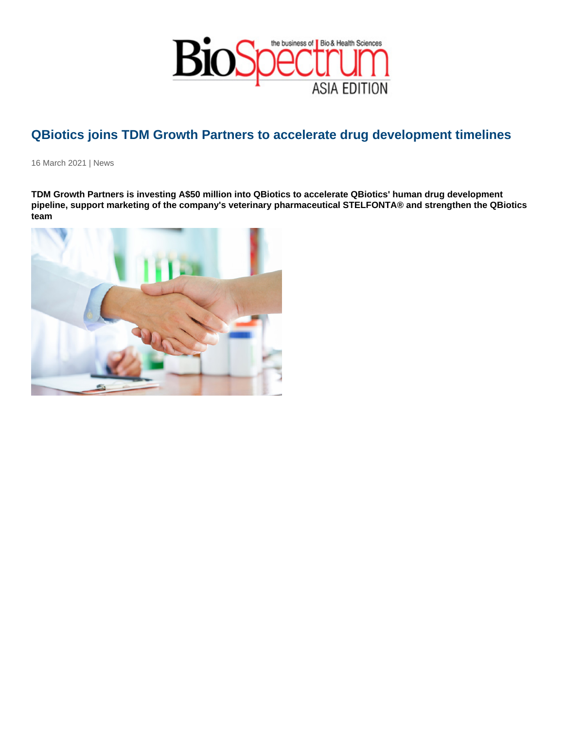## QBiotics joins TDM Growth Partners to accelerate drug development timelines

16 March 2021 | News

TDM Growth Partners is investing A\$50 million into QBiotics to accelerate QBiotics' human drug development pipeline, support marketing of the company's veterinary pharmaceutical STELFONTA® and strengthen the QBiotics team